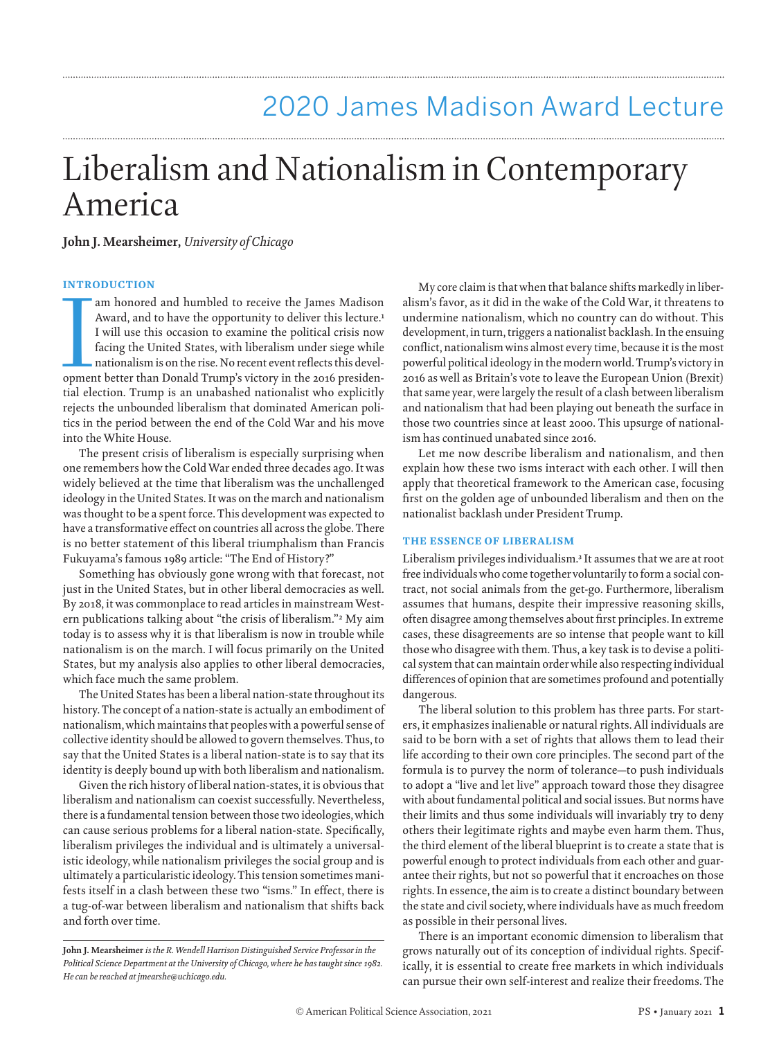# Liberalism and Nationalism in Contemporary America

**John J. Mearsheimer,** *University of Chicago*

#### INTRODUCTION

am honored and humbled to receive the James Madison<br>Award, and to have the opportunity to deliver this lecture.<sup>1</sup><br>I will use this occasion to examine the political crisis now<br>facing the United States, with liberalism unde Award, and to have the opportunity to deliver this lecture.<sup>1</sup> I will use this occasion to examine the political crisis now facing the United States, with liberalism under siege while nationalism is on the rise. No recent event reflects this develtial election. Trump is an unabashed nationalist who explicitly rejects the unbounded liberalism that dominated American politics in the period between the end of the Cold War and his move into the White House.

The present crisis of liberalism is especially surprising when one remembers how the Cold War ended three decades ago. It was widely believed at the time that liberalism was the unchallenged ideology in the United States. It was on the march and nationalism was thought to be a spent force. This development was expected to have a transformative effect on countries all across the globe. There is no better statement of this liberal triumphalism than Francis Fukuyama's famous 1989 article: "The End of History?"

Something has obviously gone wrong with that forecast, not just in the United States, but in other liberal democracies as well. By 2018, it was commonplace to read articles in mainstream Western publications talking about "the crisis of liberalism."2 My aim today is to assess why it is that liberalism is now in trouble while nationalism is on the march. I will focus primarily on the United States, but my analysis also applies to other liberal democracies, which face much the same problem.

The United States has been a liberal nation-state throughout its history. The concept of a nation-state is actually an embodiment of nationalism, which maintains that peoples with a powerful sense of collective identity should be allowed to govern themselves. Thus, to say that the United States is a liberal nation-state is to say that its identity is deeply bound up with both liberalism and nationalism.

Given the rich history of liberal nation-states, it is obvious that liberalism and nationalism can coexist successfully. Nevertheless, there is a fundamental tension between those two ideologies, which can cause serious problems for a liberal nation-state. Specifically, liberalism privileges the individual and is ultimately a universalistic ideology, while nationalism privileges the social group and is ultimately a particularistic ideology. This tension sometimes manifests itself in a clash between these two "isms." In effect, there is a tug-of-war between liberalism and nationalism that shifts back and forth over time.

My core claim is that when that balance shifts markedly in liberalism's favor, as it did in the wake of the Cold War, it threatens to undermine nationalism, which no country can do without. This development, in turn, triggers a nationalist backlash. In the ensuing conflict, nationalism wins almost every time, because it is the most powerful political ideology in the modern world. Trump's victory in 2016 as well as Britain's vote to leave the European Union (Brexit) that same year, were largely the result of a clash between liberalism and nationalism that had been playing out beneath the surface in those two countries since at least 2000. This upsurge of nationalism has continued unabated since 2016.

Let me now describe liberalism and nationalism, and then explain how these two isms interact with each other. I will then apply that theoretical framework to the American case, focusing first on the golden age of unbounded liberalism and then on the nationalist backlash under President Trump.

#### THE ESSENCE OF LIBERALISM

Liberalism privileges individualism.3 It assumes that we are at root free individuals who come together voluntarily to form a social contract, not social animals from the get-go. Furthermore, liberalism assumes that humans, despite their impressive reasoning skills, often disagree among themselves about first principles. In extreme cases, these disagreements are so intense that people want to kill those who disagree with them. Thus, a key task is to devise a political system that can maintain order while also respecting individual differences of opinion that are sometimes profound and potentially dangerous.

The liberal solution to this problem has three parts. For starters, it emphasizes inalienable or natural rights. All individuals are said to be born with a set of rights that allows them to lead their life according to their own core principles. The second part of the formula is to purvey the norm of tolerance—to push individuals to adopt a "live and let live" approach toward those they disagree with about fundamental political and social issues. But norms have their limits and thus some individuals will invariably try to deny others their legitimate rights and maybe even harm them. Thus, the third element of the liberal blueprint is to create a state that is powerful enough to protect individuals from each other and guarantee their rights, but not so powerful that it encroaches on those rights. In essence, the aim is to create a distinct boundary between the state and civil society, where individuals have as much freedom as possible in their personal lives.

There is an important economic dimension to liberalism that grows naturally out of its conception of individual rights. Specifically, it is essential to create free markets in which individuals can pursue their own self-interest and realize their freedoms. The

**John J. Mearsheimer** *is the R. Wendell Harrison Distinguished Service Professor in the Political Science Department at the University of Chicago, where he has taught since 1982. He can be reached at jmearshe@uchicago.edu.*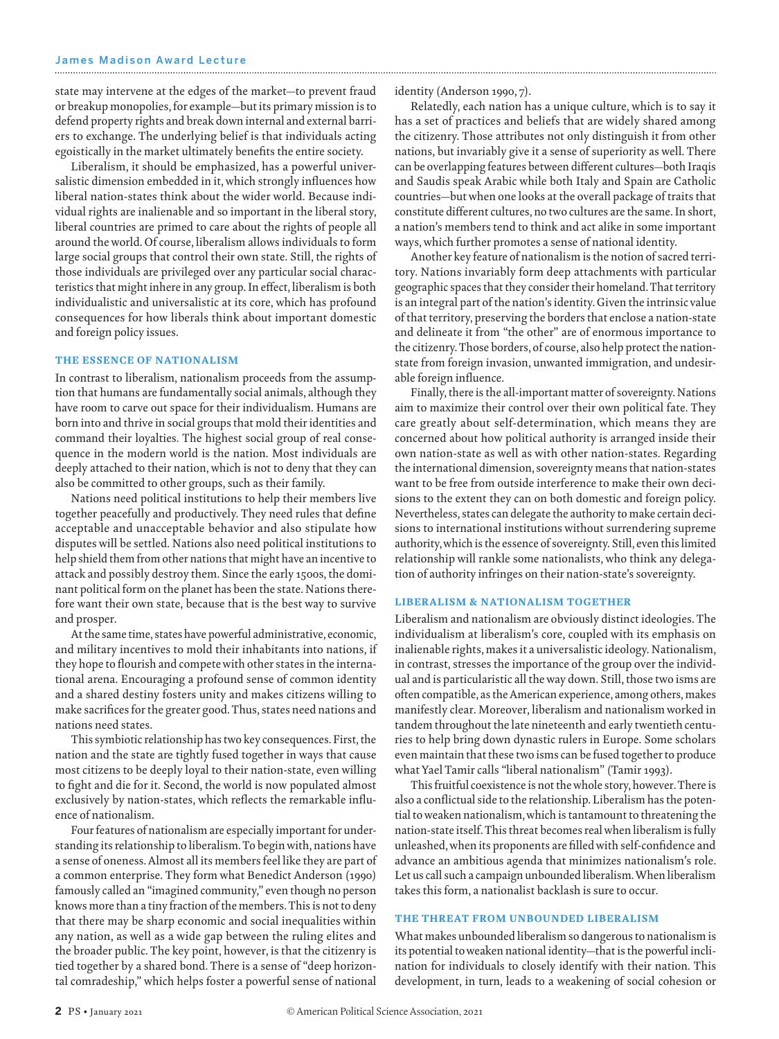state may intervene at the edges of the market—to prevent fraud or breakup monopolies, for example—but its primary mission is to defend property rights and break down internal and external barriers to exchange. The underlying belief is that individuals acting egoistically in the market ultimately benefits the entire society.

Liberalism, it should be emphasized, has a powerful universalistic dimension embedded in it, which strongly influences how liberal nation-states think about the wider world. Because individual rights are inalienable and so important in the liberal story, liberal countries are primed to care about the rights of people all around the world. Of course, liberalism allows individuals to form large social groups that control their own state. Still, the rights of those individuals are privileged over any particular social characteristics that might inhere in any group. In effect, liberalism is both individualistic and universalistic at its core, which has profound consequences for how liberals think about important domestic and foreign policy issues.

#### THE ESSENCE OF NATIONALISM

In contrast to liberalism, nationalism proceeds from the assumption that humans are fundamentally social animals, although they have room to carve out space for their individualism. Humans are born into and thrive in social groups that mold their identities and command their loyalties. The highest social group of real consequence in the modern world is the nation. Most individuals are deeply attached to their nation, which is not to deny that they can also be committed to other groups, such as their family.

Nations need political institutions to help their members live together peacefully and productively. They need rules that define acceptable and unacceptable behavior and also stipulate how disputes will be settled. Nations also need political institutions to help shield them from other nations that might have an incentive to attack and possibly destroy them. Since the early 1500s, the dominant political form on the planet has been the state. Nations therefore want their own state, because that is the best way to survive and prosper.

At the same time, states have powerful administrative, economic, and military incentives to mold their inhabitants into nations, if they hope to flourish and compete with other states in the international arena. Encouraging a profound sense of common identity and a shared destiny fosters unity and makes citizens willing to make sacrifices for the greater good. Thus, states need nations and nations need states.

This symbiotic relationship has two key consequences. First, the nation and the state are tightly fused together in ways that cause most citizens to be deeply loyal to their nation-state, even willing to fight and die for it. Second, the world is now populated almost exclusively by nation-states, which reflects the remarkable influence of nationalism.

Four features of nationalism are especially important for understanding its relationship to liberalism. To begin with, nations have a sense of oneness. Almost all its members feel like they are part of a common enterprise. They form what Benedict Anderson (1990) famously called an "imagined community," even though no person knows more than a tiny fraction of the members. This is not to deny that there may be sharp economic and social inequalities within any nation, as well as a wide gap between the ruling elites and the broader public. The key point, however, is that the citizenry is tied together by a shared bond. There is a sense of "deep horizontal comradeship," which helps foster a powerful sense of national identity (Anderson 1990, 7).

Relatedly, each nation has a unique culture, which is to say it has a set of practices and beliefs that are widely shared among the citizenry. Those attributes not only distinguish it from other nations, but invariably give it a sense of superiority as well. There can be overlapping features between different cultures—both Iraqis and Saudis speak Arabic while both Italy and Spain are Catholic countries—but when one looks at the overall package of traits that constitute different cultures, no two cultures are the same. In short, a nation's members tend to think and act alike in some important ways, which further promotes a sense of national identity.

Another key feature of nationalism is the notion of sacred territory. Nations invariably form deep attachments with particular geographic spaces that they consider their homeland. That territory is an integral part of the nation's identity. Given the intrinsic value of that territory, preserving the borders that enclose a nation-state and delineate it from "the other" are of enormous importance to the citizenry. Those borders, of course, also help protect the nationstate from foreign invasion, unwanted immigration, and undesirable foreign influence.

Finally, there is the all-important matter of sovereignty. Nations aim to maximize their control over their own political fate. They care greatly about self-determination, which means they are concerned about how political authority is arranged inside their own nation-state as well as with other nation-states. Regarding the international dimension, sovereignty means that nation-states want to be free from outside interference to make their own decisions to the extent they can on both domestic and foreign policy. Nevertheless, states can delegate the authority to make certain decisions to international institutions without surrendering supreme authority, which is the essence of sovereignty. Still, even this limited relationship will rankle some nationalists, who think any delegation of authority infringes on their nation-state's sovereignty.

#### LIBERALISM & NATIONALISM TOGETHER

Liberalism and nationalism are obviously distinct ideologies. The individualism at liberalism's core, coupled with its emphasis on inalienable rights, makes it a universalistic ideology. Nationalism, in contrast, stresses the importance of the group over the individual and is particularistic all the way down. Still, those two isms are often compatible, as the American experience, among others, makes manifestly clear. Moreover, liberalism and nationalism worked in tandem throughout the late nineteenth and early twentieth centuries to help bring down dynastic rulers in Europe. Some scholars even maintain that these two isms can be fused together to produce what Yael Tamir calls "liberal nationalism" (Tamir 1993).

This fruitful coexistence is not the whole story, however. There is also a conflictual side to the relationship. Liberalism has the potential to weaken nationalism, which is tantamount to threatening the nation-state itself. This threat becomes real when liberalism is fully unleashed, when its proponents are filled with self-confidence and advance an ambitious agenda that minimizes nationalism's role. Let us call such a campaign unbounded liberalism. When liberalism takes this form, a nationalist backlash is sure to occur.

#### THE THREAT FROM UNBOUNDED LIBERALISM

What makes unbounded liberalism so dangerous to nationalism is its potential to weaken national identity—that is the powerful inclination for individuals to closely identify with their nation. This development, in turn, leads to a weakening of social cohesion or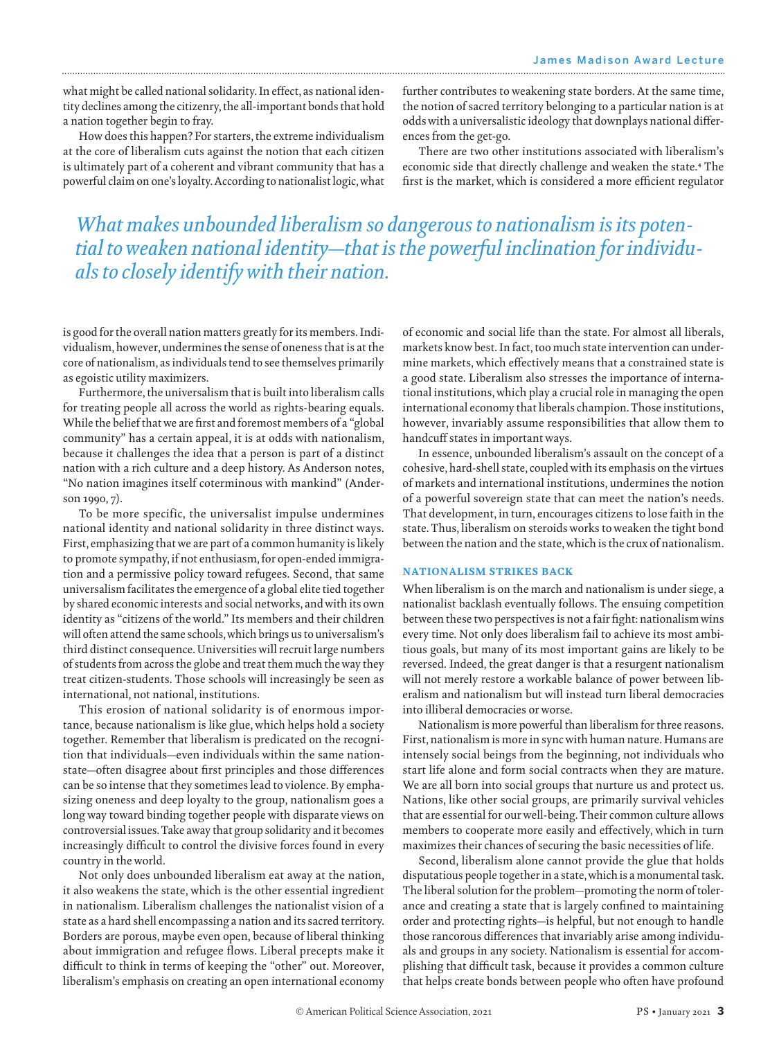what might be called national solidarity. In effect, as national identity declines among the citizenry, the all-important bonds that hold a nation together begin to fray.

How does this happen? For starters, the extreme individualism at the core of liberalism cuts against the notion that each citizen is ultimately part of a coherent and vibrant community that has a powerful claim on one's loyalty. According to nationalist logic, what

further contributes to weakening state borders. At the same time, the notion of sacred territory belonging to a particular nation is at odds with a universalistic ideology that downplays national differences from the get-go.

There are two other institutions associated with liberalism's economic side that directly challenge and weaken the state.4 The first is the market, which is considered a more efficient regulator

## *What makes unbounded liberalism so dangerous to nationalism is its potential to weaken national identity—that is the powerful inclination for individuals to closely identify with their nation.*

is good for the overall nation matters greatly for its members. Individualism, however, undermines the sense of oneness that is at the core of nationalism, as individuals tend to see themselves primarily as egoistic utility maximizers.

Furthermore, the universalism that is built into liberalism calls for treating people all across the world as rights-bearing equals. While the belief that we are first and foremost members of a "global community" has a certain appeal, it is at odds with nationalism, because it challenges the idea that a person is part of a distinct nation with a rich culture and a deep history. As Anderson notes, "No nation imagines itself coterminous with mankind" (Anderson 1990, 7).

To be more specific, the universalist impulse undermines national identity and national solidarity in three distinct ways. First, emphasizing that we are part of a common humanity is likely to promote sympathy, if not enthusiasm, for open-ended immigration and a permissive policy toward refugees. Second, that same universalism facilitates the emergence of a global elite tied together by shared economic interests and social networks, and with its own identity as "citizens of the world." Its members and their children will often attend the same schools, which brings us to universalism's third distinct consequence. Universities will recruit large numbers of students from across the globe and treat them much the way they treat citizen-students. Those schools will increasingly be seen as international, not national, institutions.

This erosion of national solidarity is of enormous importance, because nationalism is like glue, which helps hold a society together. Remember that liberalism is predicated on the recognition that individuals—even individuals within the same nationstate—often disagree about first principles and those differences can be so intense that they sometimes lead to violence. By emphasizing oneness and deep loyalty to the group, nationalism goes a long way toward binding together people with disparate views on controversial issues. Take away that group solidarity and it becomes increasingly difficult to control the divisive forces found in every country in the world.

Not only does unbounded liberalism eat away at the nation, it also weakens the state, which is the other essential ingredient in nationalism. Liberalism challenges the nationalist vision of a state as a hard shell encompassing a nation and its sacred territory. Borders are porous, maybe even open, because of liberal thinking about immigration and refugee flows. Liberal precepts make it difficult to think in terms of keeping the "other" out. Moreover, liberalism's emphasis on creating an open international economy of economic and social life than the state. For almost all liberals, markets know best. In fact, too much state intervention can undermine markets, which effectively means that a constrained state is a good state. Liberalism also stresses the importance of international institutions, which play a crucial role in managing the open international economy that liberals champion. Those institutions, however, invariably assume responsibilities that allow them to handcuff states in important ways.

In essence, unbounded liberalism's assault on the concept of a cohesive, hard-shell state, coupled with its emphasis on the virtues of markets and international institutions, undermines the notion of a powerful sovereign state that can meet the nation's needs. That development, in turn, encourages citizens to lose faith in the state. Thus, liberalism on steroids works to weaken the tight bond between the nation and the state, which is the crux of nationalism.

#### NATIONALISM STRIKES BACK

When liberalism is on the march and nationalism is under siege, a nationalist backlash eventually follows. The ensuing competition between these two perspectives is not a fair fight: nationalism wins every time. Not only does liberalism fail to achieve its most ambitious goals, but many of its most important gains are likely to be reversed. Indeed, the great danger is that a resurgent nationalism will not merely restore a workable balance of power between liberalism and nationalism but will instead turn liberal democracies into illiberal democracies or worse.

Nationalism is more powerful than liberalism for three reasons. First, nationalism is more in sync with human nature. Humans are intensely social beings from the beginning, not individuals who start life alone and form social contracts when they are mature. We are all born into social groups that nurture us and protect us. Nations, like other social groups, are primarily survival vehicles that are essential for our well-being. Their common culture allows members to cooperate more easily and effectively, which in turn maximizes their chances of securing the basic necessities of life.

Second, liberalism alone cannot provide the glue that holds disputatious people together in a state, which is a monumental task. The liberal solution for the problem—promoting the norm of tolerance and creating a state that is largely confined to maintaining order and protecting rights—is helpful, but not enough to handle those rancorous differences that invariably arise among individuals and groups in any society. Nationalism is essential for accomplishing that difficult task, because it provides a common culture that helps create bonds between people who often have profound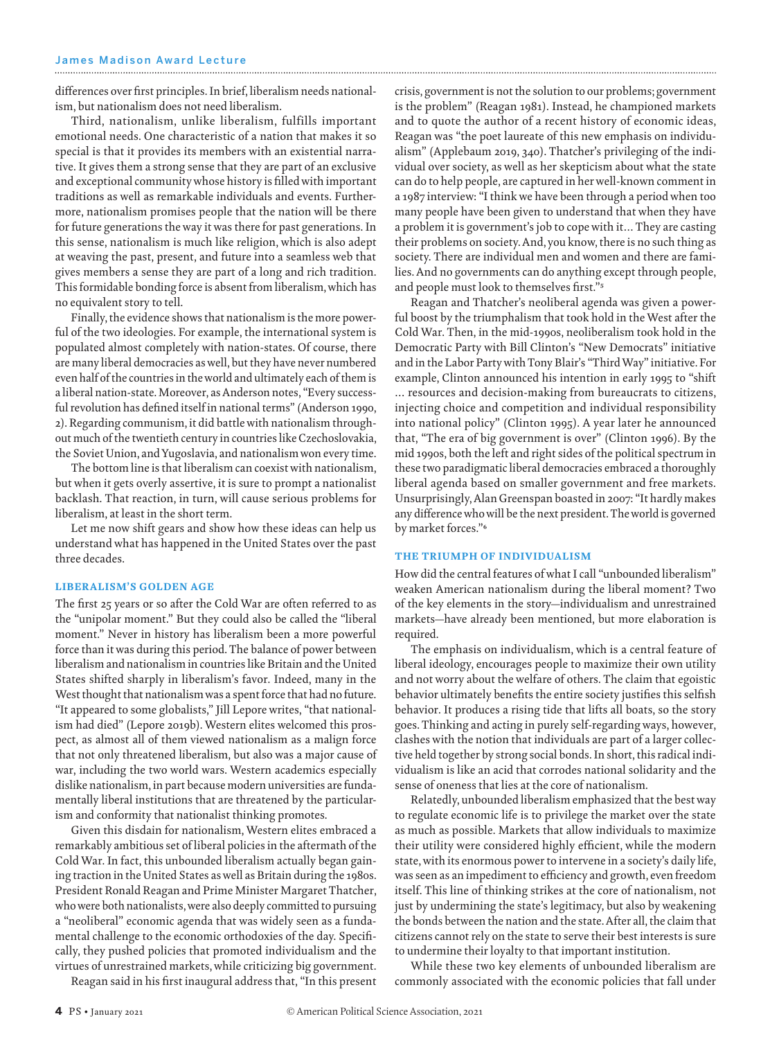differences over first principles. In brief, liberalism needs nationalism, but nationalism does not need liberalism.

Third, nationalism, unlike liberalism, fulfills important emotional needs. One characteristic of a nation that makes it so special is that it provides its members with an existential narrative. It gives them a strong sense that they are part of an exclusive and exceptional community whose history is filled with important traditions as well as remarkable individuals and events. Furthermore, nationalism promises people that the nation will be there for future generations the way it was there for past generations. In this sense, nationalism is much like religion, which is also adept at weaving the past, present, and future into a seamless web that gives members a sense they are part of a long and rich tradition. This formidable bonding force is absent from liberalism, which has no equivalent story to tell.

Finally, the evidence shows that nationalism is the more powerful of the two ideologies. For example, the international system is populated almost completely with nation-states. Of course, there are many liberal democracies as well, but they have never numbered even half of the countries in the world and ultimately each of them is a liberal nation-state. Moreover, as Anderson notes, "Every successful revolution has defined itself in national terms" (Anderson 1990, 2). Regarding communism, it did battle with nationalism throughout much of the twentieth century in countries like Czechoslovakia, the Soviet Union, and Yugoslavia, and nationalism won every time.

The bottom line is that liberalism can coexist with nationalism, but when it gets overly assertive, it is sure to prompt a nationalist backlash. That reaction, in turn, will cause serious problems for liberalism, at least in the short term.

Let me now shift gears and show how these ideas can help us understand what has happened in the United States over the past three decades.

#### LIBERALISM'S GOLDEN AGE

The first 25 years or so after the Cold War are often referred to as the "unipolar moment." But they could also be called the "liberal moment." Never in history has liberalism been a more powerful force than it was during this period. The balance of power between liberalism and nationalism in countries like Britain and the United States shifted sharply in liberalism's favor. Indeed, many in the West thought that nationalism was a spent force that had no future. "It appeared to some globalists," Jill Lepore writes, "that nationalism had died" (Lepore 2019b). Western elites welcomed this prospect, as almost all of them viewed nationalism as a malign force that not only threatened liberalism, but also was a major cause of war, including the two world wars. Western academics especially dislike nationalism, in part because modern universities are fundamentally liberal institutions that are threatened by the particularism and conformity that nationalist thinking promotes.

Given this disdain for nationalism, Western elites embraced a remarkably ambitious set of liberal policies in the aftermath of the Cold War. In fact, this unbounded liberalism actually began gaining traction in the United States as well as Britain during the 1980s. President Ronald Reagan and Prime Minister Margaret Thatcher, who were both nationalists, were also deeply committed to pursuing a "neoliberal" economic agenda that was widely seen as a fundamental challenge to the economic orthodoxies of the day. Specifically, they pushed policies that promoted individualism and the virtues of unrestrained markets, while criticizing big government.

Reagan said in his first inaugural address that, "In this present

crisis, government is not the solution to our problems; government is the problem" (Reagan 1981). Instead, he championed markets and to quote the author of a recent history of economic ideas, Reagan was "the poet laureate of this new emphasis on individualism" (Applebaum 2019, 340). Thatcher's privileging of the individual over society, as well as her skepticism about what the state can do to help people, are captured in her well-known comment in a 1987 interview: "I think we have been through a period when too many people have been given to understand that when they have a problem it is government's job to cope with it… They are casting their problems on society. And, you know, there is no such thing as society. There are individual men and women and there are families. And no governments can do anything except through people, and people must look to themselves first."5

Reagan and Thatcher's neoliberal agenda was given a powerful boost by the triumphalism that took hold in the West after the Cold War. Then, in the mid-1990s, neoliberalism took hold in the Democratic Party with Bill Clinton's "New Democrats" initiative and in the Labor Party with Tony Blair's "Third Way" initiative. For example, Clinton announced his intention in early 1995 to "shift … resources and decision-making from bureaucrats to citizens, injecting choice and competition and individual responsibility into national policy" (Clinton 1995). A year later he announced that, "The era of big government is over" (Clinton 1996). By the mid 1990s, both the left and right sides of the political spectrum in these two paradigmatic liberal democracies embraced a thoroughly liberal agenda based on smaller government and free markets. Unsurprisingly, Alan Greenspan boasted in 2007: "It hardly makes any difference who will be the next president. The world is governed by market forces."6

#### THE TRIUMPH OF INDIVIDUALISM

How did the central features of what I call "unbounded liberalism" weaken American nationalism during the liberal moment? Two of the key elements in the story—individualism and unrestrained markets—have already been mentioned, but more elaboration is required.

The emphasis on individualism, which is a central feature of liberal ideology, encourages people to maximize their own utility and not worry about the welfare of others. The claim that egoistic behavior ultimately benefits the entire society justifies this selfish behavior. It produces a rising tide that lifts all boats, so the story goes. Thinking and acting in purely self-regarding ways, however, clashes with the notion that individuals are part of a larger collective held together by strong social bonds. In short, this radical individualism is like an acid that corrodes national solidarity and the sense of oneness that lies at the core of nationalism.

Relatedly, unbounded liberalism emphasized that the best way to regulate economic life is to privilege the market over the state as much as possible. Markets that allow individuals to maximize their utility were considered highly efficient, while the modern state, with its enormous power to intervene in a society's daily life, was seen as an impediment to efficiency and growth, even freedom itself. This line of thinking strikes at the core of nationalism, not just by undermining the state's legitimacy, but also by weakening the bonds between the nation and the state. After all, the claim that citizens cannot rely on the state to serve their best interests is sure to undermine their loyalty to that important institution.

While these two key elements of unbounded liberalism are commonly associated with the economic policies that fall under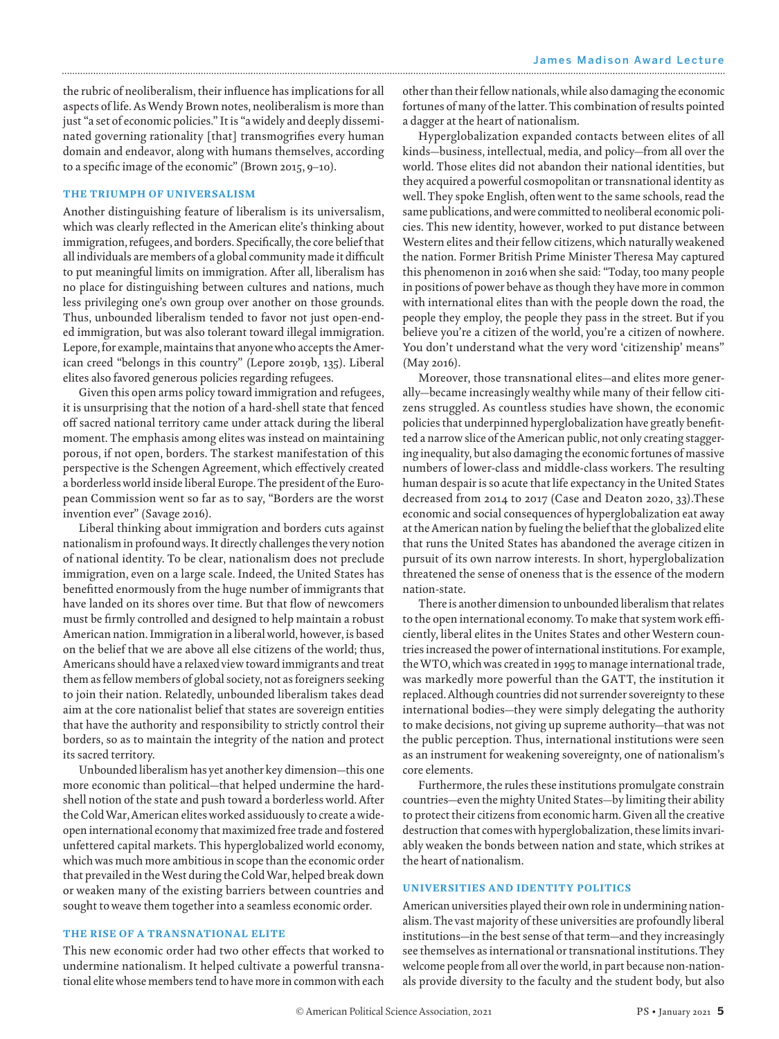the rubric of neoliberalism, their influence has implications for all aspects of life. As Wendy Brown notes, neoliberalism is more than just "a set of economic policies." It is "a widely and deeply disseminated governing rationality [that] transmogrifies every human domain and endeavor, along with humans themselves, according to a specific image of the economic" (Brown 2015, 9–10).

#### THE TRIUMPH OF UNIVERSALISM

Another distinguishing feature of liberalism is its universalism, which was clearly reflected in the American elite's thinking about immigration, refugees, and borders. Specifically, the core belief that all individuals are members of a global community made it difficult to put meaningful limits on immigration. After all, liberalism has no place for distinguishing between cultures and nations, much less privileging one's own group over another on those grounds. Thus, unbounded liberalism tended to favor not just open-ended immigration, but was also tolerant toward illegal immigration. Lepore, for example, maintains that anyone who accepts the American creed "belongs in this country" (Lepore 2019b, 135). Liberal elites also favored generous policies regarding refugees.

Given this open arms policy toward immigration and refugees, it is unsurprising that the notion of a hard-shell state that fenced off sacred national territory came under attack during the liberal moment. The emphasis among elites was instead on maintaining porous, if not open, borders. The starkest manifestation of this perspective is the Schengen Agreement, which effectively created a borderless world inside liberal Europe. The president of the European Commission went so far as to say, "Borders are the worst invention ever" (Savage 2016).

Liberal thinking about immigration and borders cuts against nationalism in profound ways. It directly challenges the very notion of national identity. To be clear, nationalism does not preclude immigration, even on a large scale. Indeed, the United States has benefitted enormously from the huge number of immigrants that have landed on its shores over time. But that flow of newcomers must be firmly controlled and designed to help maintain a robust American nation. Immigration in a liberal world, however, is based on the belief that we are above all else citizens of the world; thus, Americans should have a relaxed view toward immigrants and treat them as fellow members of global society, not as foreigners seeking to join their nation. Relatedly, unbounded liberalism takes dead aim at the core nationalist belief that states are sovereign entities that have the authority and responsibility to strictly control their borders, so as to maintain the integrity of the nation and protect its sacred territory.

Unbounded liberalism has yet another key dimension—this one more economic than political—that helped undermine the hardshell notion of the state and push toward a borderless world. After the Cold War, American elites worked assiduously to create a wideopen international economy that maximized free trade and fostered unfettered capital markets. This hyperglobalized world economy, which was much more ambitious in scope than the economic order that prevailed in the West during the Cold War, helped break down or weaken many of the existing barriers between countries and sought to weave them together into a seamless economic order.

#### THE RISE OF A TRANSNATIONAL ELITE

This new economic order had two other effects that worked to undermine nationalism. It helped cultivate a powerful transnational elite whose members tend to have more in common with each other than their fellow nationals, while also damaging the economic fortunes of many of the latter. This combination of results pointed a dagger at the heart of nationalism.

Hyperglobalization expanded contacts between elites of all kinds—business, intellectual, media, and policy—from all over the world. Those elites did not abandon their national identities, but they acquired a powerful cosmopolitan or transnational identity as well. They spoke English, often went to the same schools, read the same publications, and were committed to neoliberal economic policies. This new identity, however, worked to put distance between Western elites and their fellow citizens, which naturally weakened the nation. Former British Prime Minister Theresa May captured this phenomenon in 2016 when she said: "Today, too many people in positions of power behave as though they have more in common with international elites than with the people down the road, the people they employ, the people they pass in the street. But if you believe you're a citizen of the world, you're a citizen of nowhere. You don't understand what the very word 'citizenship' means" (May 2016).

Moreover, those transnational elites—and elites more generally—became increasingly wealthy while many of their fellow citizens struggled. As countless studies have shown, the economic policies that underpinned hyperglobalization have greatly benefitted a narrow slice of the American public, not only creating staggering inequality, but also damaging the economic fortunes of massive numbers of lower-class and middle-class workers. The resulting human despair is so acute that life expectancy in the United States decreased from 2014 to 2017 (Case and Deaton 2020, 33).These economic and social consequences of hyperglobalization eat away at the American nation by fueling the belief that the globalized elite that runs the United States has abandoned the average citizen in pursuit of its own narrow interests. In short, hyperglobalization threatened the sense of oneness that is the essence of the modern nation-state.

There is another dimension to unbounded liberalism that relates to the open international economy. To make that system work efficiently, liberal elites in the Unites States and other Western countries increased the power of international institutions. For example, the WTO, which was created in 1995 to manage international trade, was markedly more powerful than the GATT, the institution it replaced. Although countries did not surrender sovereignty to these international bodies—they were simply delegating the authority to make decisions, not giving up supreme authority—that was not the public perception. Thus, international institutions were seen as an instrument for weakening sovereignty, one of nationalism's core elements.

Furthermore, the rules these institutions promulgate constrain countries—even the mighty United States—by limiting their ability to protect their citizens from economic harm. Given all the creative destruction that comes with hyperglobalization, these limits invariably weaken the bonds between nation and state, which strikes at the heart of nationalism.

#### UNIVERSITIES AND IDENTITY POLITICS

American universities played their own role in undermining nationalism. The vast majority of these universities are profoundly liberal institutions—in the best sense of that term—and they increasingly see themselves as international or transnational institutions. They welcome people from all over the world, in part because non-nationals provide diversity to the faculty and the student body, but also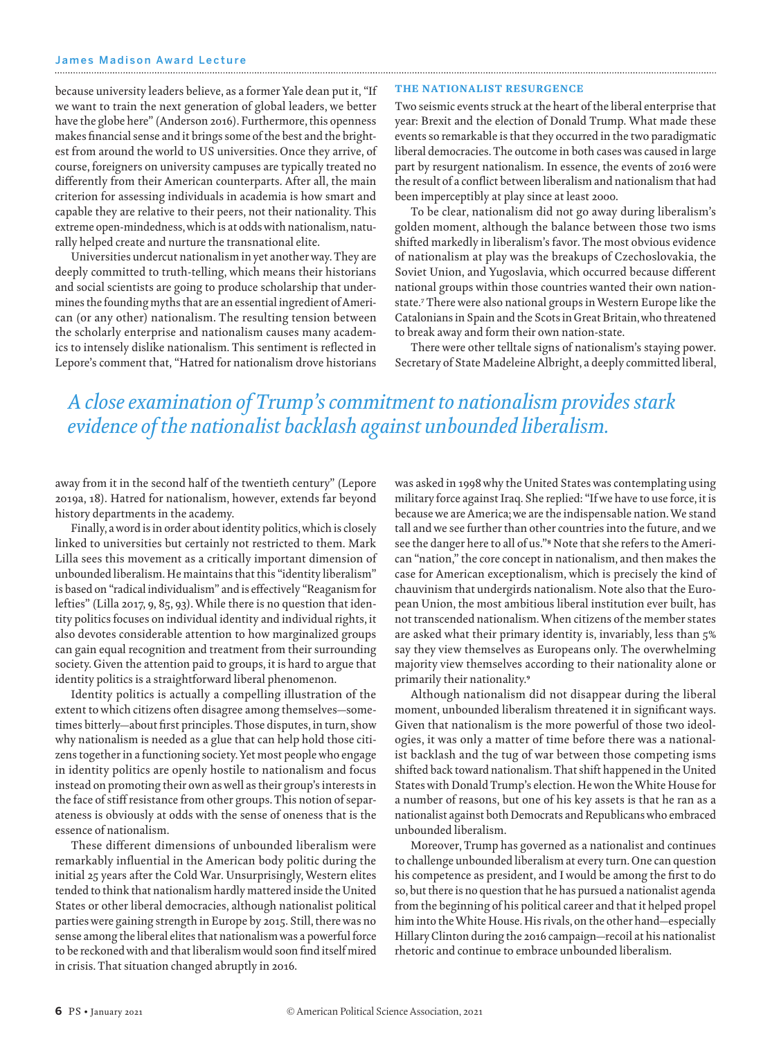because university leaders believe, as a former Yale dean put it, "If we want to train the next generation of global leaders, we better have the globe here" (Anderson 2016). Furthermore, this openness makes financial sense and it brings some of the best and the brightest from around the world to US universities. Once they arrive, of course, foreigners on university campuses are typically treated no differently from their American counterparts. After all, the main criterion for assessing individuals in academia is how smart and capable they are relative to their peers, not their nationality. This extreme open-mindedness, which is at odds with nationalism, naturally helped create and nurture the transnational elite.

Universities undercut nationalism in yet another way. They are deeply committed to truth-telling, which means their historians and social scientists are going to produce scholarship that undermines the founding myths that are an essential ingredient of American (or any other) nationalism. The resulting tension between the scholarly enterprise and nationalism causes many academics to intensely dislike nationalism. This sentiment is reflected in Lepore's comment that, "Hatred for nationalism drove historians

#### THE NATIONALIST RESURGENCE

Two seismic events struck at the heart of the liberal enterprise that year: Brexit and the election of Donald Trump. What made these events so remarkable is that they occurred in the two paradigmatic liberal democracies. The outcome in both cases was caused in large part by resurgent nationalism. In essence, the events of 2016 were the result of a conflict between liberalism and nationalism that had been imperceptibly at play since at least 2000.

To be clear, nationalism did not go away during liberalism's golden moment, although the balance between those two isms shifted markedly in liberalism's favor. The most obvious evidence of nationalism at play was the breakups of Czechoslovakia, the Soviet Union, and Yugoslavia, which occurred because different national groups within those countries wanted their own nationstate.7 There were also national groups in Western Europe like the Catalonians in Spain and the Scots in Great Britain, who threatened to break away and form their own nation-state.

There were other telltale signs of nationalism's staying power. Secretary of State Madeleine Albright, a deeply committed liberal,

### *A close examination of Trump's commitment to nationalism provides stark evidence of the nationalist backlash against unbounded liberalism.*

away from it in the second half of the twentieth century" (Lepore 2019a, 18). Hatred for nationalism, however, extends far beyond history departments in the academy.

Finally, a word is in order about identity politics, which is closely linked to universities but certainly not restricted to them. Mark Lilla sees this movement as a critically important dimension of unbounded liberalism. He maintains that this "identity liberalism" is based on "radical individualism" and is effectively "Reaganism for lefties" (Lilla 2017, 9, 85, 93). While there is no question that identity politics focuses on individual identity and individual rights, it also devotes considerable attention to how marginalized groups can gain equal recognition and treatment from their surrounding society. Given the attention paid to groups, it is hard to argue that identity politics is a straightforward liberal phenomenon.

Identity politics is actually a compelling illustration of the extent to which citizens often disagree among themselves—sometimes bitterly—about first principles. Those disputes, in turn, show why nationalism is needed as a glue that can help hold those citizens together in a functioning society. Yet most people who engage in identity politics are openly hostile to nationalism and focus instead on promoting their own as well as their group's interests in the face of stiff resistance from other groups. This notion of separateness is obviously at odds with the sense of oneness that is the essence of nationalism.

These different dimensions of unbounded liberalism were remarkably influential in the American body politic during the initial 25 years after the Cold War. Unsurprisingly, Western elites tended to think that nationalism hardly mattered inside the United States or other liberal democracies, although nationalist political parties were gaining strength in Europe by 2015. Still, there was no sense among the liberal elites that nationalism was a powerful force to be reckoned with and that liberalism would soon find itself mired in crisis. That situation changed abruptly in 2016.

was asked in 1998 why the United States was contemplating using military force against Iraq. She replied: "If we have to use force, it is because we are America; we are the indispensable nation. We stand tall and we see further than other countries into the future, and we see the danger here to all of us."8 Note that she refers to the American "nation," the core concept in nationalism, and then makes the case for American exceptionalism, which is precisely the kind of chauvinism that undergirds nationalism. Note also that the European Union, the most ambitious liberal institution ever built, has not transcended nationalism. When citizens of the member states are asked what their primary identity is, invariably, less than 5% say they view themselves as Europeans only. The overwhelming majority view themselves according to their nationality alone or primarily their nationality.9

Although nationalism did not disappear during the liberal moment, unbounded liberalism threatened it in significant ways. Given that nationalism is the more powerful of those two ideologies, it was only a matter of time before there was a nationalist backlash and the tug of war between those competing isms shifted back toward nationalism. That shift happened in the United States with Donald Trump's election. He won the White House for a number of reasons, but one of his key assets is that he ran as a nationalist against both Democrats and Republicans who embraced unbounded liberalism.

Moreover, Trump has governed as a nationalist and continues to challenge unbounded liberalism at every turn. One can question his competence as president, and I would be among the first to do so, but there is no question that he has pursued a nationalist agenda from the beginning of his political career and that it helped propel him into the White House. His rivals, on the other hand—especially Hillary Clinton during the 2016 campaign—recoil at his nationalist rhetoric and continue to embrace unbounded liberalism.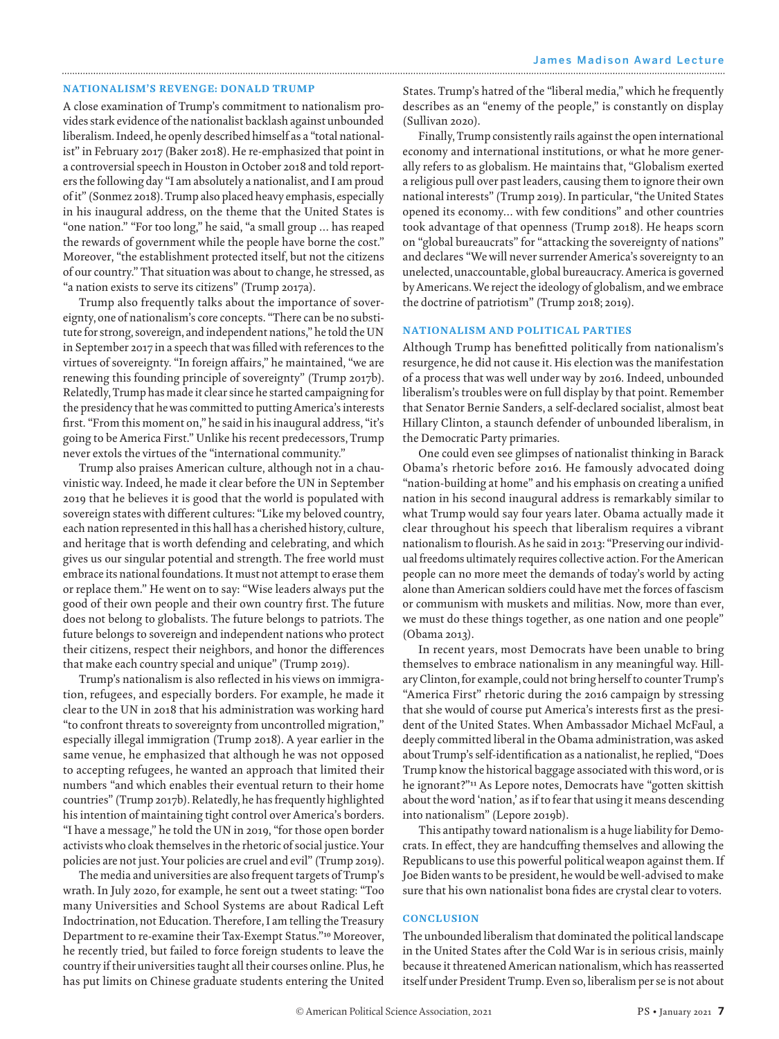#### NATIONALISM'S REVENGE: DONALD TRUMP

A close examination of Trump's commitment to nationalism provides stark evidence of the nationalist backlash against unbounded liberalism. Indeed, he openly described himself as a "total nationalist" in February 2017 (Baker 2018). He re-emphasized that point in a controversial speech in Houston in October 2018 and told reporters the following day "I am absolutely a nationalist, and I am proud of it" (Sonmez 2018). Trump also placed heavy emphasis, especially in his inaugural address, on the theme that the United States is "one nation." "For too long," he said, "a small group … has reaped the rewards of government while the people have borne the cost." Moreover, "the establishment protected itself, but not the citizens of our country." That situation was about to change, he stressed, as "a nation exists to serve its citizens" (Trump 2017a).

Trump also frequently talks about the importance of sovereignty, one of nationalism's core concepts. "There can be no substitute for strong, sovereign, and independent nations," he told the UN in September 2017 in a speech that was filled with references to the virtues of sovereignty. "In foreign affairs," he maintained, "we are renewing this founding principle of sovereignty" (Trump 2017b). Relatedly, Trump has made it clear since he started campaigning for the presidency that he was committed to putting America's interests first. "From this moment on," he said in his inaugural address, "it's going to be America First." Unlike his recent predecessors, Trump never extols the virtues of the "international community."

Trump also praises American culture, although not in a chauvinistic way. Indeed, he made it clear before the UN in September 2019 that he believes it is good that the world is populated with sovereign states with different cultures: "Like my beloved country, each nation represented in this hall has a cherished history, culture, and heritage that is worth defending and celebrating, and which gives us our singular potential and strength. The free world must embrace its national foundations. It must not attempt to erase them or replace them." He went on to say: "Wise leaders always put the good of their own people and their own country first. The future does not belong to globalists. The future belongs to patriots. The future belongs to sovereign and independent nations who protect their citizens, respect their neighbors, and honor the differences that make each country special and unique" (Trump 2019).

Trump's nationalism is also reflected in his views on immigration, refugees, and especially borders. For example, he made it clear to the UN in 2018 that his administration was working hard "to confront threats to sovereignty from uncontrolled migration," especially illegal immigration (Trump 2018). A year earlier in the same venue, he emphasized that although he was not opposed to accepting refugees, he wanted an approach that limited their numbers "and which enables their eventual return to their home countries" (Trump 2017b). Relatedly, he has frequently highlighted his intention of maintaining tight control over America's borders. "I have a message," he told the UN in 2019, "for those open border activists who cloak themselves in the rhetoric of social justice. Your policies are not just. Your policies are cruel and evil" (Trump 2019).

The media and universities are also frequent targets of Trump's wrath. In July 2020, for example, he sent out a tweet stating: "Too many Universities and School Systems are about Radical Left Indoctrination, not Education. Therefore, I am telling the Treasury Department to re-examine their Tax-Exempt Status."10 Moreover, he recently tried, but failed to force foreign students to leave the country if their universities taught all their courses online. Plus, he has put limits on Chinese graduate students entering the United

States. Trump's hatred of the "liberal media," which he frequently describes as an "enemy of the people," is constantly on display (Sullivan 2020).

Finally, Trump consistently rails against the open international economy and international institutions, or what he more generally refers to as globalism. He maintains that, "Globalism exerted a religious pull over past leaders, causing them to ignore their own national interests" (Trump 2019). In particular, "the United States opened its economy… with few conditions" and other countries took advantage of that openness (Trump 2018). He heaps scorn on "global bureaucrats" for "attacking the sovereignty of nations" and declares "We will never surrender America's sovereignty to an unelected, unaccountable, global bureaucracy. America is governed by Americans. We reject the ideology of globalism, and we embrace the doctrine of patriotism" (Trump 2018; 2019).

#### NATIONALISM AND POLITICAL PARTIES

Although Trump has benefitted politically from nationalism's resurgence, he did not cause it. His election was the manifestation of a process that was well under way by 2016. Indeed, unbounded liberalism's troubles were on full display by that point. Remember that Senator Bernie Sanders, a self-declared socialist, almost beat Hillary Clinton, a staunch defender of unbounded liberalism, in the Democratic Party primaries.

One could even see glimpses of nationalist thinking in Barack Obama's rhetoric before 2016. He famously advocated doing "nation-building at home" and his emphasis on creating a unified nation in his second inaugural address is remarkably similar to what Trump would say four years later. Obama actually made it clear throughout his speech that liberalism requires a vibrant nationalism to flourish. As he said in 2013: "Preserving our individual freedoms ultimately requires collective action. For the American people can no more meet the demands of today's world by acting alone than American soldiers could have met the forces of fascism or communism with muskets and militias. Now, more than ever, we must do these things together, as one nation and one people" (Obama 2013).

In recent years, most Democrats have been unable to bring themselves to embrace nationalism in any meaningful way. Hillary Clinton, for example, could not bring herself to counter Trump's "America First" rhetoric during the 2016 campaign by stressing that she would of course put America's interests first as the president of the United States. When Ambassador Michael McFaul, a deeply committed liberal in the Obama administration, was asked about Trump's self-identification as a nationalist, he replied, "Does Trump know the historical baggage associated with this word, or is he ignorant?"11 As Lepore notes, Democrats have "gotten skittish about the word 'nation,' as if to fear that using it means descending into nationalism" (Lepore 2019b).

This antipathy toward nationalism is a huge liability for Democrats. In effect, they are handcuffing themselves and allowing the Republicans to use this powerful political weapon against them. If Joe Biden wants to be president, he would be well-advised to make sure that his own nationalist bona fides are crystal clear to voters.

#### **CONCLUSION**

The unbounded liberalism that dominated the political landscape in the United States after the Cold War is in serious crisis, mainly because it threatened American nationalism, which has reasserted itself under President Trump. Even so, liberalism per se is not about